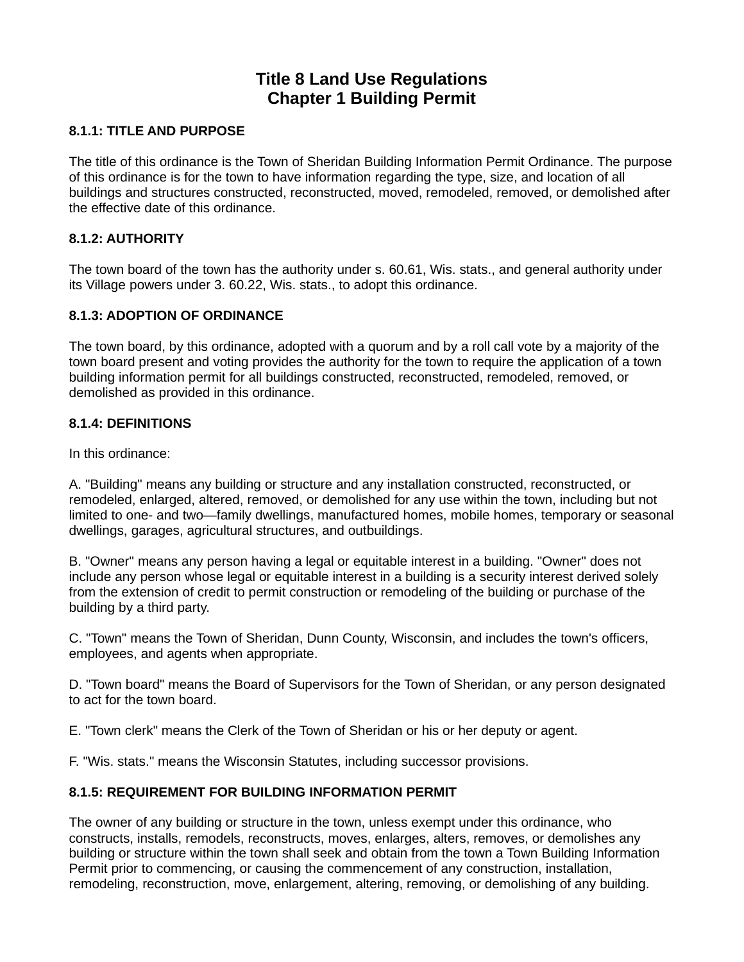# **Title 8 Land Use Regulations Chapter 1 Building Permit**

#### **8.1.1: TITLE AND PURPOSE**

The title of this ordinance is the Town of Sheridan Building Information Permit Ordinance. The purpose of this ordinance is for the town to have information regarding the type, size, and location of all buildings and structures constructed, reconstructed, moved, remodeled, removed, or demolished after the effective date of this ordinance.

#### **8.1.2: AUTHORITY**

The town board of the town has the authority under s. 60.61, Wis. stats., and general authority under its Village powers under 3. 60.22, Wis. stats., to adopt this ordinance.

#### **8.1.3: ADOPTION OF ORDINANCE**

The town board, by this ordinance, adopted with a quorum and by a roll call vote by a majority of the town board present and voting provides the authority for the town to require the application of a town building information permit for all buildings constructed, reconstructed, remodeled, removed, or demolished as provided in this ordinance.

#### **8.1.4: DEFINITIONS**

In this ordinance:

A. "Building" means any building or structure and any installation constructed, reconstructed, or remodeled, enlarged, altered, removed, or demolished for any use within the town, including but not limited to one- and two—family dwellings, manufactured homes, mobile homes, temporary or seasonal dwellings, garages, agricultural structures, and outbuildings.

B. "Owner" means any person having a legal or equitable interest in a building. "Owner" does not include any person whose legal or equitable interest in a building is a security interest derived solely from the extension of credit to permit construction or remodeling of the building or purchase of the building by a third party.

C. "Town" means the Town of Sheridan, Dunn County, Wisconsin, and includes the town's officers, employees, and agents when appropriate.

D. "Town board" means the Board of Supervisors for the Town of Sheridan, or any person designated to act for the town board.

E. "Town clerk" means the Clerk of the Town of Sheridan or his or her deputy or agent.

F. "Wis. stats." means the Wisconsin Statutes, including successor provisions.

## **8.1.5: REQUIREMENT FOR BUILDING INFORMATION PERMIT**

The owner of any building or structure in the town, unless exempt under this ordinance, who constructs, installs, remodels, reconstructs, moves, enlarges, alters, removes, or demolishes any building or structure within the town shall seek and obtain from the town a Town Building Information Permit prior to commencing, or causing the commencement of any construction, installation, remodeling, reconstruction, move, enlargement, altering, removing, or demolishing of any building.